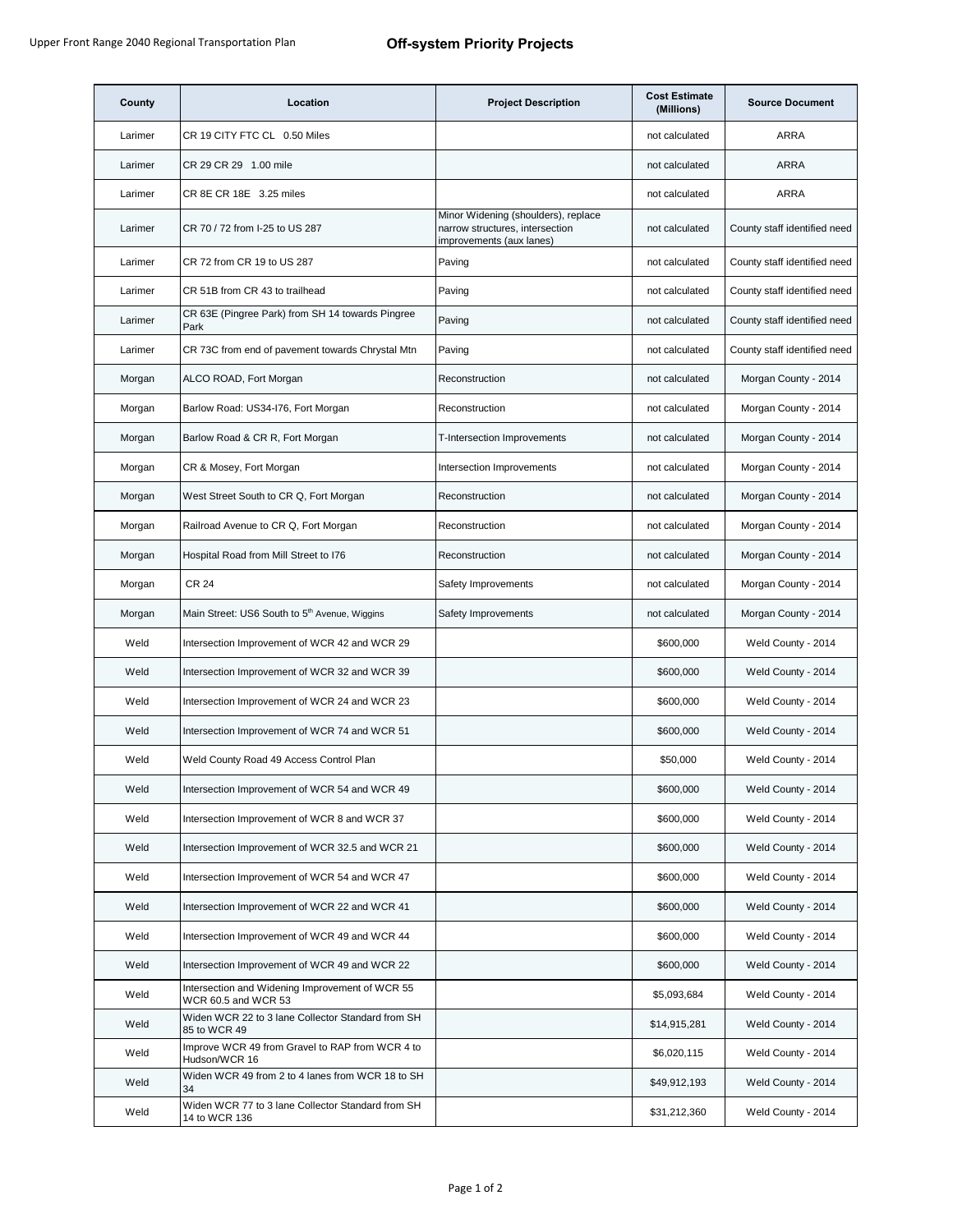| County  | Location                                                               | <b>Project Description</b>                                                                         | <b>Cost Estimate</b><br>(Millions) | <b>Source Document</b>       |
|---------|------------------------------------------------------------------------|----------------------------------------------------------------------------------------------------|------------------------------------|------------------------------|
| Larimer | CR 19 CITY FTC CL 0.50 Miles                                           |                                                                                                    | not calculated                     | <b>ARRA</b>                  |
| Larimer | CR 29 CR 29 1.00 mile                                                  |                                                                                                    | not calculated                     | <b>ARRA</b>                  |
| Larimer | CR 8E CR 18E 3.25 miles                                                |                                                                                                    | not calculated                     | <b>ARRA</b>                  |
| Larimer | CR 70 / 72 from I-25 to US 287                                         | Minor Widening (shoulders), replace<br>narrow structures, intersection<br>improvements (aux lanes) | not calculated                     | County staff identified need |
| Larimer | CR 72 from CR 19 to US 287                                             | Paving                                                                                             | not calculated                     | County staff identified need |
| Larimer | CR 51B from CR 43 to trailhead                                         | Paving                                                                                             | not calculated                     | County staff identified need |
| Larimer | CR 63E (Pingree Park) from SH 14 towards Pingree<br>Park               | Paving                                                                                             | not calculated                     | County staff identified need |
| Larimer | CR 73C from end of pavement towards Chrystal Mtn                       | Paving                                                                                             | not calculated                     | County staff identified need |
| Morgan  | ALCO ROAD, Fort Morgan                                                 | Reconstruction                                                                                     | not calculated                     | Morgan County - 2014         |
| Morgan  | Barlow Road: US34-I76, Fort Morgan                                     | Reconstruction                                                                                     | not calculated                     | Morgan County - 2014         |
| Morgan  | Barlow Road & CR R, Fort Morgan                                        | T-Intersection Improvements                                                                        | not calculated                     | Morgan County - 2014         |
| Morgan  | CR & Mosey, Fort Morgan                                                | Intersection Improvements                                                                          | not calculated                     | Morgan County - 2014         |
| Morgan  | West Street South to CR Q, Fort Morgan                                 | Reconstruction                                                                                     | not calculated                     | Morgan County - 2014         |
| Morgan  | Railroad Avenue to CR Q, Fort Morgan                                   | Reconstruction                                                                                     | not calculated                     | Morgan County - 2014         |
| Morgan  | Hospital Road from Mill Street to I76                                  | Reconstruction                                                                                     | not calculated                     | Morgan County - 2014         |
| Morgan  | <b>CR 24</b>                                                           | Safety Improvements                                                                                | not calculated                     | Morgan County - 2014         |
| Morgan  | Main Street: US6 South to 5 <sup>th</sup> Avenue, Wiggins              | Safety Improvements                                                                                | not calculated                     | Morgan County - 2014         |
| Weld    | Intersection Improvement of WCR 42 and WCR 29                          |                                                                                                    | \$600,000                          | Weld County - 2014           |
| Weld    | Intersection Improvement of WCR 32 and WCR 39                          |                                                                                                    | \$600,000                          | Weld County - 2014           |
| Weld    | Intersection Improvement of WCR 24 and WCR 23                          |                                                                                                    | \$600,000                          | Weld County - 2014           |
| Weld    | Intersection Improvement of WCR 74 and WCR 51                          |                                                                                                    | \$600,000                          | Weld County - 2014           |
| Weld    | Weld County Road 49 Access Control Plan                                |                                                                                                    | \$50,000                           | Weld County - 2014           |
| Weld    | Intersection Improvement of WCR 54 and WCR 49                          |                                                                                                    | \$600,000                          | Weld County - 2014           |
| Weld    | Intersection Improvement of WCR 8 and WCR 37                           |                                                                                                    | \$600,000                          | Weld County - 2014           |
| Weld    | Intersection Improvement of WCR 32.5 and WCR 21                        |                                                                                                    | \$600,000                          | Weld County - 2014           |
| Weld    | Intersection Improvement of WCR 54 and WCR 47                          |                                                                                                    | \$600,000                          | Weld County - 2014           |
| Weld    | Intersection Improvement of WCR 22 and WCR 41                          |                                                                                                    | \$600,000                          | Weld County - 2014           |
| Weld    | Intersection Improvement of WCR 49 and WCR 44                          |                                                                                                    | \$600,000                          | Weld County - 2014           |
| Weld    | Intersection Improvement of WCR 49 and WCR 22                          |                                                                                                    | \$600,000                          | Weld County - 2014           |
| Weld    | Intersection and Widening Improvement of WCR 55<br>WCR 60.5 and WCR 53 |                                                                                                    | \$5,093,684                        | Weld County - 2014           |
| Weld    | Widen WCR 22 to 3 lane Collector Standard from SH<br>85 to WCR 49      |                                                                                                    | \$14,915,281                       | Weld County - 2014           |
| Weld    | Improve WCR 49 from Gravel to RAP from WCR 4 to<br>Hudson/WCR 16       |                                                                                                    | \$6,020,115                        | Weld County - 2014           |
| Weld    | Widen WCR 49 from 2 to 4 lanes from WCR 18 to SH<br>34                 |                                                                                                    | \$49,912,193                       | Weld County - 2014           |
| Weld    | Widen WCR 77 to 3 lane Collector Standard from SH<br>14 to WCR 136     |                                                                                                    | \$31,212,360                       | Weld County - 2014           |